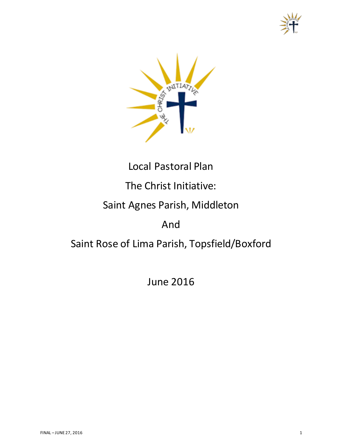



# Local Pastoral Plan

# The Christ Initiative:

# Saint Agnes Parish, Middleton

## And

# Saint Rose of Lima Parish, Topsfield/Boxford

June 2016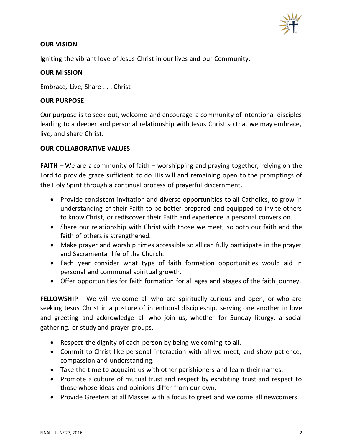

#### **OUR VISION**

Igniting the vibrant love of Jesus Christ in our lives and our Community.

### **OUR MISSION**

Embrace, Live, Share . . . Christ

#### **OUR PURPOSE**

Our purpose is to seek out, welcome and encourage a community of intentional disciples leading to a deeper and personal relationship with Jesus Christ so that we may embrace, live, and share Christ.

#### **OUR COLLABORATIVE VALUES**

**FAITH** – We are a community of faith – worshipping and praying together, relying on the Lord to provide grace sufficient to do His will and remaining open to the promptings of the Holy Spirit through a continual process of prayerful discernment.

- Provide consistent invitation and diverse opportunities to all Catholics, to grow in understanding of their Faith to be better prepared and equipped to invite others to know Christ, or rediscover their Faith and experience a personal conversion.
- Share our relationship with Christ with those we meet, so both our faith and the faith of others is strengthened.
- Make prayer and worship times accessible so all can fully participate in the prayer and Sacramental life of the Church.
- Each year consider what type of faith formation opportunities would aid in personal and communal spiritual growth.
- Offer opportunities for faith formation for all ages and stages of the faith journey.

**FELLOWSHIP** - We will welcome all who are spiritually curious and open, or who are seeking Jesus Christ in a posture of intentional discipleship, serving one another in love and greeting and acknowledge all who join us, whether for Sunday liturgy, a social gathering, or study and prayer groups.

- Respect the dignity of each person by being welcoming to all.
- Commit to Christ-like personal interaction with all we meet, and show patience, compassion and understanding.
- Take the time to acquaint us with other parishioners and learn their names.
- Promote a culture of mutual trust and respect by exhibiting trust and respect to those whose ideas and opinions differ from our own.
- Provide Greeters at all Masses with a focus to greet and welcome all newcomers.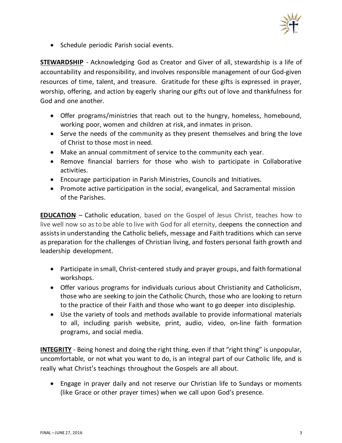

• Schedule periodic Parish social events.

**STEWARDSHIP** - Acknowledging God as Creator and Giver of all, stewardship is a life of accountability and responsibility, and involves responsible management of our God-given resources of time, talent, and treasure. Gratitude for these gifts is expressed in prayer, worship, offering, and action by eagerly sharing our gifts out of love and thankfulness for God and one another.

- Offer programs/ministries that reach out to the hungry, homeless, homebound, working poor, women and children at risk, and inmates in prison.
- Serve the needs of the community as they present themselves and bring the love of Christ to those most in need.
- Make an annual commitment of service to the community each year.
- Remove financial barriers for those who wish to participate in Collaborative activities.
- Encourage participation in Parish Ministries, Councils and Initiatives.
- Promote active participation in the social, evangelical, and Sacramental mission of the Parishes.

**EDUCATION** – Catholic education, based on the Gospel of Jesus Christ, teaches how to live well now so as to be able to live with God for all eternity, deepens the connection and assistsin understanding the Catholic beliefs, message and Faith traditions which can serve as preparation for the challenges of Christian living, and fosters personal faith growth and leadership development.

- Participate in small, Christ-centered study and prayer groups, and faith formational workshops.
- Offer various programs for individuals curious about Christianity and Catholicism, those who are seeking to join the Catholic Church, those who are looking to return to the practice of their Faith and those who want to go deeper into discipleship.
- Use the variety of tools and methods available to provide informational materials to all, including parish website, print, audio, video, on-line faith formation programs, and social media.

**INTEGRITY** - Being honest and doing the right thing, even if that "right thing" is unpopular, uncomfortable, or not what you want to do, is an integral part of our Catholic life, and is really what Christ's teachings throughout the Gospels are all about.

• Engage in prayer daily and not reserve our Christian life to Sundays or moments (like Grace or other prayer times) when we call upon God's presence.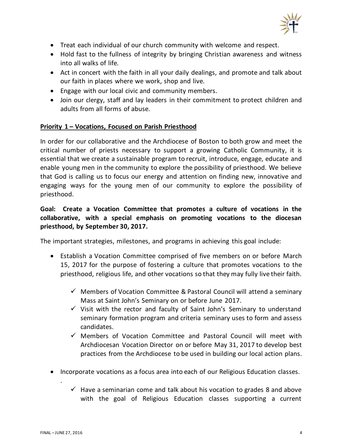

- Treat each individual of our church community with welcome and respect.
- Hold fast to the fullness of integrity by bringing Christian awareness and witness into all walks of life.
- Act in concert with the faith in all your daily dealings, and promote and talk about our faith in places where we work, shop and live.
- Engage with our local civic and community members.
- Join our clergy, staff and lay leaders in their commitment to protect children and adults from all forms of abuse.

#### **Priority 1 – Vocations, Focused on Parish Priesthood**

In order for our collaborative and the Archdiocese of Boston to both grow and meet the critical number of priests necessary to support a growing Catholic Community, it is essential that we create a sustainable program to recruit, introduce, engage, educate and enable young men in the community to explore the possibility of priesthood. We believe that God is calling us to focus our energy and attention on finding new, innovative and engaging ways for the young men of our community to explore the possibility of priesthood.

## **Goal:****Create a Vocation Committee that promotes a culture of vocations in the collaborative, with a special emphasis on promoting vocations to the diocesan priesthood, by September 30, 2017.**

The important strategies, milestones, and programs in achieving this goal include:

- Establish a Vocation Committee comprised of five members on or before March 15, 2017 for the purpose of fostering a culture that promotes vocations to the priesthood, religious life, and other vocations so that they may fully live their faith.
	- $\checkmark$  Members of Vocation Committee & Pastoral Council will attend a seminary Mass at Saint John's Seminary on or before June 2017.
	- $\checkmark$  Visit with the rector and faculty of Saint John's Seminary to understand seminary formation program and criteria seminary uses to form and assess candidates.
	- $\checkmark$  Members of Vocation Committee and Pastoral Council will meet with Archdiocesan Vocation Director on or before May 31, 2017 to develop best practices from the Archdiocese to be used in building our local action plans.
- Incorporate vocations as a focus area into each of our Religious Education classes.
	- $\checkmark$  Have a seminarian come and talk about his vocation to grades 8 and above with the goal of Religious Education classes supporting a current

.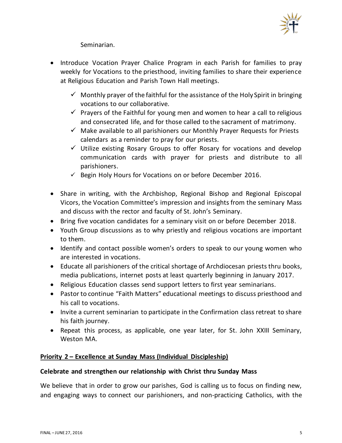

## Seminarian.

- Introduce Vocation Prayer Chalice Program in each Parish for families to pray weekly for Vocations to the priesthood, inviting families to share their experience at Religious Education and Parish Town Hall meetings.
	- $\checkmark$  Monthly prayer of the faithful for the assistance of the Holy Spirit in bringing vocations to our collaborative.
	- $\checkmark$  Prayers of the Faithful for young men and women to hear a call to religious and consecrated life, and for those called to the sacrament of matrimony.
	- $\checkmark$  Make available to all parishioners our Monthly Prayer Requests for Priests calendars as a reminder to pray for our priests.
	- $\checkmark$  Utilize existing Rosary Groups to offer Rosary for vocations and develop communication cards with prayer for priests and distribute to all parishioners.
	- $\checkmark$  Begin Holy Hours for Vocations on or before December 2016.
- Share in writing, with the Archbishop, Regional Bishop and Regional Episcopal Vicors, the Vocation Committee's impression and insights from the seminary Mass and discuss with the rector and faculty of St. John's Seminary.
- Bring five vocation candidates for a seminary visit on or before December 2018.
- Youth Group discussions as to why priestly and religious vocations are important to them.
- Identify and contact possible women's orders to speak to our young women who are interested in vocations.
- Educate all parishioners of the critical shortage of Archdiocesan priests thru books, media publications, internet posts at least quarterly beginning in January 2017.
- Religious Education classes send support letters to first year seminarians.
- Pastor to continue "Faith Matters" educational meetings to discuss priesthood and his call to vocations.
- Invite a current seminarian to participate in the Confirmation class retreat to share his faith journey.
- Repeat this process, as applicable, one year later, for St. John XXIII Seminary, Weston MA.

## **Priority 2 – Excellence at Sunday Mass (Individual Discipleship)**

#### **Celebrate and strengthen our relationship with Christ thru Sunday Mass**

We believe that in order to grow our parishes, God is calling us to focus on finding new, and engaging ways to connect our parishioners, and non-practicing Catholics, with the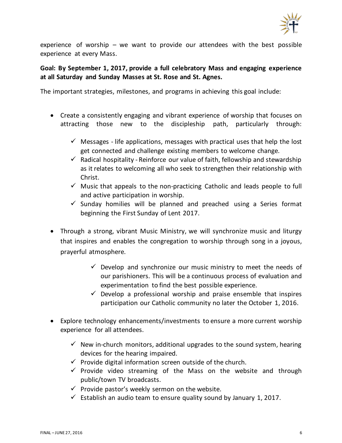

experience of worship – we want to provide our attendees with the best possible experience at every Mass.

## **Goal: By September 1, 2017, provide a full celebratory Mass and engaging experience at all Saturday and Sunday Masses at St. Rose and St. Agnes.**

The important strategies, milestones, and programs in achieving this goal include:

- Create a consistently engaging and vibrant experience of worship that focuses on attracting those new to the discipleship path, particularly through:
	- $\checkmark$  Messages life applications, messages with practical uses that help the lost get connected and challenge existing members to welcome change.
	- $\checkmark$  Radical hospitality Reinforce our value of faith, fellowship and stewardship as it relates to welcoming all who seek to strengthen their relationship with Christ.
	- $\checkmark$  Music that appeals to the non-practicing Catholic and leads people to full and active participation in worship.
	- $\checkmark$  Sunday homilies will be planned and preached using a Series format beginning the First Sunday of Lent 2017.
- Through a strong, vibrant Music Ministry, we will synchronize music and liturgy that inspires and enables the congregation to worship through song in a joyous, prayerful atmosphere.
	- $\checkmark$  Develop and synchronize our music ministry to meet the needs of our parishioners. This will be a continuous process of evaluation and experimentation to find the best possible experience.
	- $\checkmark$  Develop a professional worship and praise ensemble that inspires participation our Catholic community no later the October 1, 2016.
- Explore technology enhancements/investments to ensure a more current worship experience for all attendees.
	- $\checkmark$  New in-church monitors, additional upgrades to the sound system, hearing devices for the hearing impaired.
	- $\checkmark$  Provide digital information screen outside of the church.
	- $\checkmark$  Provide video streaming of the Mass on the website and through public/town TV broadcasts.
	- $\checkmark$  Provide pastor's weekly sermon on the website.
	- $\checkmark$  Establish an audio team to ensure quality sound by January 1, 2017.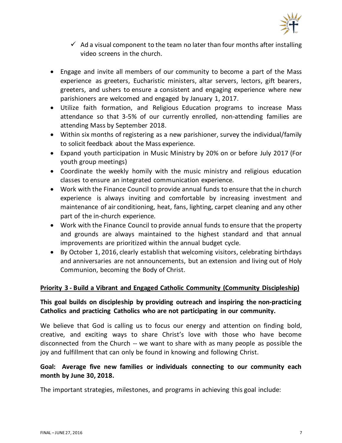

- $\checkmark$  Ad a visual component to the team no later than four months after installing video screens in the church.
- Engage and invite all members of our community to become a part of the Mass experience as greeters, Eucharistic ministers, altar servers, lectors, gift bearers, greeters, and ushers to ensure a consistent and engaging experience where new parishioners are welcomed and engaged by January 1, 2017.
- Utilize faith formation, and Religious Education programs to increase Mass attendance so that 3-5% of our currently enrolled, non-attending families are attending Mass by September 2018.
- Within six months of registering as a new parishioner, survey the individual/family to solicit feedback about the Mass experience.
- Expand youth participation in Music Ministry by 20% on or before July 2017 (For youth group meetings)
- Coordinate the weekly homily with the music ministry and religious education classes to ensure an integrated communication experience.
- Work with the Finance Council to provide annual funds to ensure that the in church experience is always inviting and comfortable by increasing investment and maintenance of air conditioning, heat, fans, lighting, carpet cleaning and any other part of the in-church experience.
- Work with the Finance Council to provide annual funds to ensure that the property and grounds are always maintained to the highest standard and that annual improvements are prioritized within the annual budget cycle.
- By October 1, 2016, clearly establish that welcoming visitors, celebrating birthdays and anniversaries are not announcements, but an extension and living out of Holy Communion, becoming the Body of Christ.

## **Priority 3 - Build a Vibrant and Engaged Catholic Community (Community Discipleship)**

## **This goal builds on discipleship by providing outreach and inspiring the non-practicing Catholics and practicing Catholics who are not participating in our community.**

We believe that God is calling us to focus our energy and attention on finding bold, creative, and exciting ways to share Christ's love with those who have become disconnected from the Church -- we want to share with as many people as possible the joy and fulfillment that can only be found in knowing and following Christ.

## **Goal: Average five new families or individuals connecting to our community each month by June 30, 2018.**

The important strategies, milestones, and programs in achieving this goal include: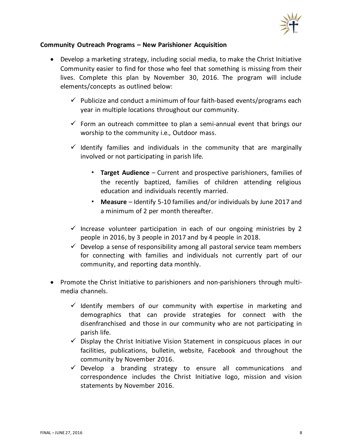

#### **Community Outreach Programs – New Parishioner Acquisition**

- Develop a marketing strategy, including social media, to make the Christ Initiative Community easier to find for those who feel that something is missing from their lives. Complete this plan by November 30, 2016. The program will include elements/concepts as outlined below:
	- $\checkmark$  Publicize and conduct a minimum of four faith-based events/programs each year in multiple locations throughout our community.
	- $\checkmark$  Form an outreach committee to plan a semi-annual event that brings our worship to the community i.e., Outdoor mass.
	- $\checkmark$  Identify families and individuals in the community that are marginally involved or not participating in parish life.
		- **Target Audience** Current and prospective parishioners, families of the recently baptized, families of children attending religious education and individuals recently married.
		- **Measure** Identify 5-10 families and/or individuals by June 2017 and a minimum of 2 per month thereafter.
	- $\checkmark$  Increase volunteer participation in each of our ongoing ministries by 2 people in 2016, by 3 people in 2017 and by 4 people in 2018.
	- $\checkmark$  Develop a sense of responsibility among all pastoral service team members for connecting with families and individuals not currently part of our community, and reporting data monthly.
- Promote the Christ Initiative to parishioners and non-parishioners through multimedia channels.
	- $\checkmark$  Identify members of our community with expertise in marketing and demographics that can provide strategies for connect with the disenfranchised and those in our community who are not participating in parish life.
	- $\checkmark$  Display the Christ Initiative Vision Statement in conspicuous places in our facilities, publications, bulletin, website, Facebook and throughout the community by November 2016.
	- $\checkmark$  Develop a branding strategy to ensure all communications and correspondence includes the Christ Initiative logo, mission and vision statements by November 2016.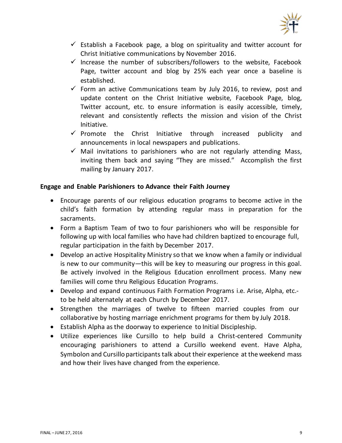

- $\checkmark$  Establish a Facebook page, a blog on spirituality and twitter account for Christ Initiative communications by November 2016.
- $\checkmark$  Increase the number of subscribers/followers to the website, Facebook Page, twitter account and blog by 25% each year once a baseline is established.
- $\checkmark$  Form an active Communications team by July 2016, to review, post and update content on the Christ Initiative website, Facebook Page, blog, Twitter account, etc. to ensure information is easily accessible, timely, relevant and consistently reflects the mission and vision of the Christ Initiative.
- $\checkmark$  Promote the Christ Initiative through increased publicity and announcements in local newspapers and publications.
- $\checkmark$  Mail invitations to parishioners who are not regularly attending Mass, inviting them back and saying "They are missed." Accomplish the first mailing by January 2017.

#### **Engage and Enable Parishioners to Advance their Faith Journey**

- Encourage parents of our religious education programs to become active in the child's faith formation by attending regular mass in preparation for the sacraments.
- Form a Baptism Team of two to four parishioners who will be responsible for following up with local families who have had children baptized to encourage full, regular participation in the faith by December 2017.
- Develop an active Hospitality Ministry so that we know when a family or individual is new to our community—this will be key to measuring our progress in this goal. Be actively involved in the Religious Education enrollment process. Many new families will come thru Religious Education Programs.
- Develop and expand continuous Faith Formation Programs i.e. Arise, Alpha, etc.to be held alternately at each Church by December 2017.
- Strengthen the marriages of twelve to fifteen married couples from our collaborative by hosting marriage enrichment programs for them by July 2018.
- Establish Alpha as the doorway to experience to Initial Discipleship.
- Utilize experiences like Cursillo to help build a Christ-centered Community encouraging parishioners to attend a Cursillo weekend event. Have Alpha, Symbolon and Cursillo participants talk about their experience at the weekend mass and how their lives have changed from the experience.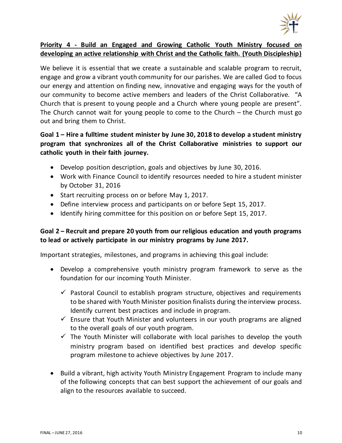

## **Priority 4 - Build an Engaged and Growing Catholic Youth Ministry focused on developing an active relationship with Christ and the Catholic faith. (Youth Discipleship)**

We believe it is essential that we create a sustainable and scalable program to recruit, engage and grow a vibrant youth community for our parishes. We are called God to focus our energy and attention on finding new, innovative and engaging ways for the youth of our community to become active members and leaders of the Christ Collaborative. "A Church that is present to young people and a Church where young people are present". The Church cannot wait for young people to come to the Church – the Church must go out and bring them to Christ.

## **Goal 1 – Hire a fulltime student minister by June 30, 2018 to develop a student ministry program that synchronizes all of the Christ Collaborative ministries to support our catholic youth in their faith journey.**

- Develop position description, goals and objectives by June 30, 2016.
- Work with Finance Council to identify resources needed to hire a student minister by October 31, 2016
- Start recruiting process on or before May 1, 2017.
- Define interview process and participants on or before Sept 15, 2017.
- Identify hiring committee for this position on or before Sept 15, 2017.

## **Goal 2 – Recruit and prepare 20 youth from our religious education and youth programs to lead or actively participate in our ministry programs by June 2017.**

Important strategies, milestones, and programs in achieving this goal include:

- Develop a comprehensive youth ministry program framework to serve as the foundation for our incoming Youth Minister.
	- $\checkmark$  Pastoral Council to establish program structure, objectives and requirements to be shared with Youth Minister position finalists during the interview process. Identify current best practices and include in program.
	- $\checkmark$  Ensure that Youth Minister and volunteers in our youth programs are aligned to the overall goals of our youth program.
	- $\checkmark$  The Youth Minister will collaborate with local parishes to develop the youth ministry program based on identified best practices and develop specific program milestone to achieve objectives by June 2017.
- Build a vibrant, high activity Youth Ministry Engagement Program to include many of the following concepts that can best support the achievement of our goals and align to the resources available to succeed.